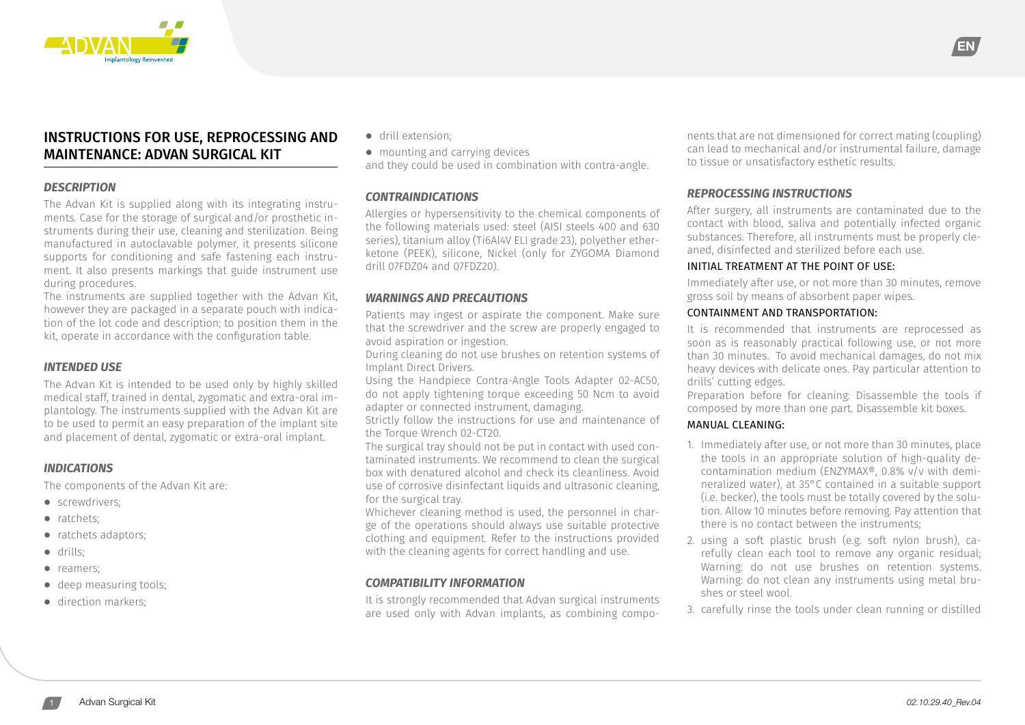

## INSTRUCTIONS FOR USE, REPROCESSING AND MAINTENANCE: ADVAN SURGICAL KIT

#### *DESCRIPTION*

The Advan Kit is supplied along with its integrating instruments. Case for the storage of surgical and/or prosthetic instruments during their use, cleaning and sterilization. Being manufactured in autoclavable polymer, it presents silicone supports for conditioning and safe fastening each instrument. It also presents markings that guide instrument use during procedures.

The instruments are supplied together with the Advan Kit, however they are packaged in a separate pouch with indication of the lot code and description; to position them in the kit, operate in accordance with the configuration table.

## *INTENDED USE*

The Advan Kit is intended to be used only by highly skilled medical staff, trained in dental, zygomatic and extra-oral implantology. The instruments supplied with the Advan Kit are to be used to permit an easy preparation of the implant site and placement of dental, zygomatic or extra-oral implant.

## *INDICATIONS*

The components of the Advan Kit are:

- **⦁** screwdrivers;
- **⦁** ratchets;
- **⦁** ratchets adaptors;
- **⦁** drills;
- **⦁** reamers;
- **⦁** deep measuring tools;
- **⦁** direction markers;

**⦁** drill extension;

**⦁** mounting and carrying devices

and they could be used in combination with contra-angle.

## *CONTRAINDICATIONS*

Allergies or hypersensitivity to the chemical components of the following materials used: steel (AISI steels 400 and 630 series), titanium alloy (Ti6Al4V ELI grade 23), polyether etherketone (PEEK), silicone, Nickel (only for ZYGOMA Diamond drill 07FDZ04 and 07FDZ20).

## *WARNINGS AND PRECAUTIONS*

Patients may ingest or aspirate the component. Make sure that the screwdriver and the screw are properly engaged to avoid aspiration or ingestion.

During cleaning do not use brushes on retention systems of Implant Direct Drivers.

Using the Handpiece Contra-Angle Tools Adapter 02-AC50, do not apply tightening torque exceeding 50 Ncm to avoid adapter or connected instrument, damaging.

Strictly follow the instructions for use and maintenance of the Torque Wrench 02-CT20.

The surgical tray should not be put in contact with used contaminated instruments. We recommend to clean the surgical box with denatured alcohol and check its cleanliness. Avoid use of corrosive disinfectant liquids and ultrasonic cleaning, for the surgical tray.

Whichever cleaning method is used, the personnel in charge of the operations should always use suitable protective clothing and equipment. Refer to the instructions provided with the cleaning agents for correct handling and use.

## *COMPATIBILITY INFORMATION*

It is strongly recommended that Advan surgical instruments are used only with Advan implants, as combining components that are not dimensioned for correct mating (coupling) can lead to mechanical and/or instrumental failure, damage to tissue or unsatisfactory esthetic results.

## *REPROCESSING INSTRUCTIONS*

After surgery, all instruments are contaminated due to the contact with blood, saliva and potentially infected organic substances. Therefore, all instruments must be properly cleaned, disinfected and sterilized before each use.

#### INITIAL TREATMENT AT THE POINT OF USE:

Immediately after use, or not more than 30 minutes, remove gross soil by means of absorbent paper wipes.

#### CONTAINMENT AND TRANSPORTATION:

It is recommended that instruments are reprocessed as soon as is reasonably practical following use, or not more than 30 minutes. To avoid mechanical damages, do not mix heavy devices with delicate ones. Pay particular attention to drills' cutting edges.

Preparation before for cleaning: Disassemble the tools if composed by more than one part. Disassemble kit boxes.

#### MANUAL CLEANING:

- 1. Immediately after use, or not more than 30 minutes, place the tools in an appropriate solution of high-quality decontamination medium (ENZYMAX®, 0.8% v/v with demineralized water), at 35°C contained in a suitable support (i.e. becker), the tools must be totally covered by the solution. Allow 10 minutes before removing. Pay attention that there is no contact between the instruments;
- 2. using a soft plastic brush (e.g. soft nylon brush), carefully clean each tool to remove any organic residual; Warning: do not use brushes on retention systems. Warning: do not clean any instruments using metal brushes or steel wool.
- 3. carefully rinse the tools under clean running or distilled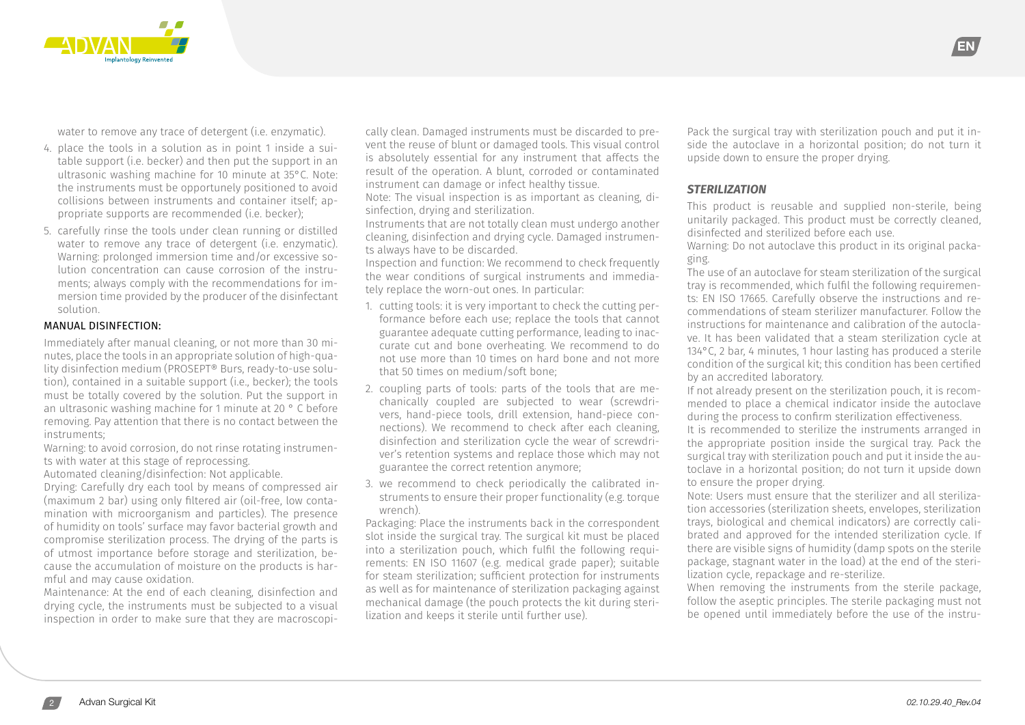

water to remove any trace of detergent (i.e. enzymatic).

- 4. place the tools in a solution as in point 1 inside a suitable support (i.e. becker) and then put the support in an ultrasonic washing machine for 10 minute at 35°C. Note: the instruments must be opportunely positioned to avoid collisions between instruments and container itself; appropriate supports are recommended (i.e. becker);
- 5. carefully rinse the tools under clean running or distilled water to remove any trace of detergent (i.e. enzymatic). Warning: prolonged immersion time and/or excessive solution concentration can cause corrosion of the instruments; always comply with the recommendations for immersion time provided by the producer of the disinfectant solution.

#### MANUAL DISINFECTION:

Immediately after manual cleaning, or not more than 30 minutes, place the tools in an appropriate solution of high-quality disinfection medium (PROSEPT® Burs, ready-to-use solution), contained in a suitable support (i.e., becker); the tools must be totally covered by the solution. Put the support in an ultrasonic washing machine for 1 minute at 20 ° C before removing. Pay attention that there is no contact between the instruments;

Warning: to avoid corrosion, do not rinse rotating instruments with water at this stage of reprocessing.

Automated cleaning/disinfection: Not applicable.

Drying: Carefully dry each tool by means of compressed air (maximum 2 bar) using only filtered air (oil-free, low contamination with microorganism and particles). The presence of humidity on tools' surface may favor bacterial growth and compromise sterilization process. The drying of the parts is of utmost importance before storage and sterilization, because the accumulation of moisture on the products is harmful and may cause oxidation.

Maintenance: At the end of each cleaning, disinfection and drying cycle, the instruments must be subjected to a visual inspection in order to make sure that they are macroscopi-

cally clean. Damaged instruments must be discarded to prevent the reuse of blunt or damaged tools. This visual control is absolutely essential for any instrument that affects the result of the operation. A blunt, corroded or contaminated instrument can damage or infect healthy tissue.

Note: The visual inspection is as important as cleaning, disinfection, drying and sterilization.

Instruments that are not totally clean must undergo another cleaning, disinfection and drying cycle. Damaged instruments always have to be discarded.

Inspection and function: We recommend to check frequently the wear conditions of surgical instruments and immediately replace the worn-out ones. In particular:

- 1. cutting tools: it is very important to check the cutting performance before each use; replace the tools that cannot guarantee adequate cutting performance, leading to inaccurate cut and bone overheating. We recommend to do not use more than 10 times on hard bone and not more that 50 times on medium/soft bone;
- 2. coupling parts of tools: parts of the tools that are mechanically coupled are subjected to wear (screwdrivers, hand-piece tools, drill extension, hand-piece connections). We recommend to check after each cleaning, disinfection and sterilization cycle the wear of screwdriver's retention systems and replace those which may not guarantee the correct retention anymore;
- 3. we recommend to check periodically the calibrated instruments to ensure their proper functionality (e.g. torque wrench).

Packaging: Place the instruments back in the correspondent slot inside the surgical tray. The surgical kit must be placed into a sterilization pouch, which fulfil the following requirements: EN ISO 11607 (e.g. medical grade paper); suitable for steam sterilization; sufficient protection for instruments as well as for maintenance of sterilization packaging against mechanical damage (the pouch protects the kit during sterilization and keeps it sterile until further use).

Pack the surgical tray with sterilization pouch and put it inside the autoclave in a horizontal position; do not turn it upside down to ensure the proper drying.

#### *STERILIZATION*

This product is reusable and supplied non-sterile, being unitarily packaged. This product must be correctly cleaned, disinfected and sterilized before each use.

Warning: Do not autoclave this product in its original packaging.

The use of an autoclave for steam sterilization of the surgical tray is recommended, which fulfil the following requirements: EN ISO 17665. Carefully observe the instructions and recommendations of steam sterilizer manufacturer. Follow the instructions for maintenance and calibration of the autoclave. It has been validated that a steam sterilization cycle at 134°C, 2 bar, 4 minutes, 1 hour lasting has produced a sterile condition of the surgical kit; this condition has been certified by an accredited laboratory.

If not already present on the sterilization pouch, it is recommended to place a chemical indicator inside the autoclave during the process to confirm sterilization effectiveness.

It is recommended to sterilize the instruments arranged in the appropriate position inside the surgical tray. Pack the surgical tray with sterilization pouch and put it inside the autoclave in a horizontal position; do not turn it upside down to ensure the proper drying.

Note: Users must ensure that the sterilizer and all sterilization accessories (sterilization sheets, envelopes, sterilization trays, biological and chemical indicators) are correctly calibrated and approved for the intended sterilization cycle. If there are visible signs of humidity (damp spots on the sterile package, stagnant water in the load) at the end of the sterilization cycle, repackage and re-sterilize.

When removing the instruments from the sterile package, follow the aseptic principles. The sterile packaging must not be opened until immediately before the use of the instru-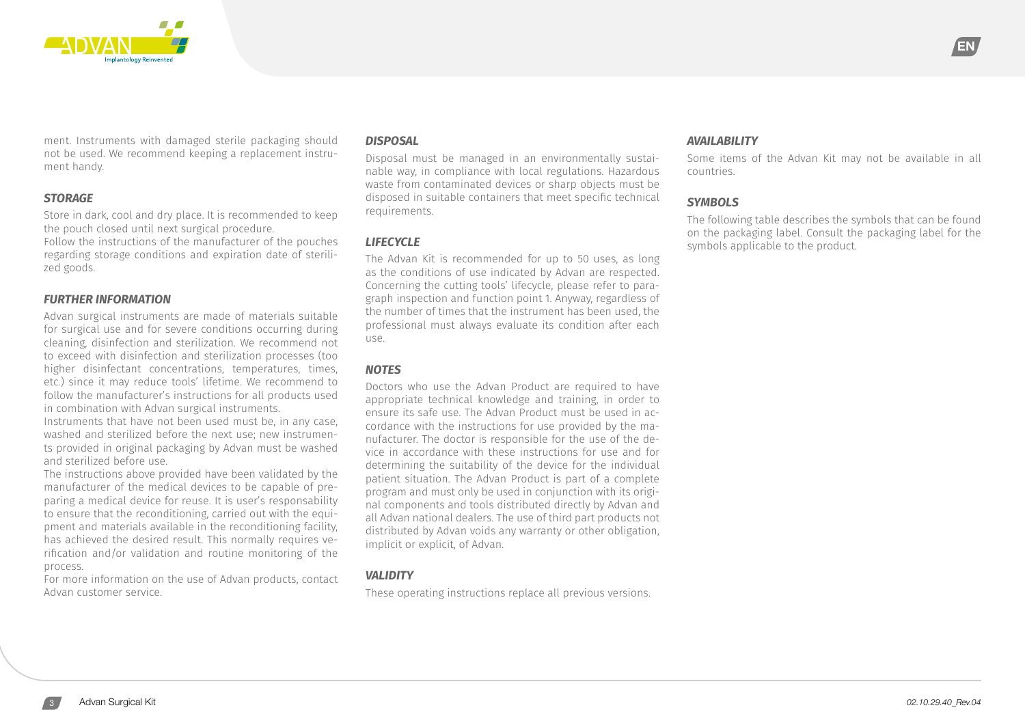

ment. Instruments with damaged sterile packaging should not be used. We recommend keeping a replacement instrument handy.

#### *STORAGE*

Store in dark, cool and dry place. It is recommended to keep the pouch closed until next surgical procedure. Follow the instructions of the manufacturer of the pouches regarding storage conditions and expiration date of sterilized goods.

#### *FURTHER INFORMATION*

Advan surgical instruments are made of materials suitable for surgical use and for severe conditions occurring during cleaning, disinfection and sterilization. We recommend not to exceed with disinfection and sterilization processes (too higher disinfectant concentrations, temperatures, times, etc.) since it may reduce tools' lifetime. We recommend to follow the manufacturer's instructions for all products used in combination with Advan surgical instruments.

Instruments that have not been used must be, in any case, washed and sterilized before the next use; new instruments provided in original packaging by Advan must be washed and sterilized before use.

The instructions above provided have been validated by the manufacturer of the medical devices to be capable of preparing a medical device for reuse. It is user's responsability to ensure that the reconditioning, carried out with the equipment and materials available in the reconditioning facility, has achieved the desired result. This normally requires verification and/or validation and routine monitoring of the process.

For more information on the use of Advan products, contact Advan customer service.

#### *DISPOSAL*

Disposal must be managed in an environmentally sustainable way, in compliance with local regulations. Hazardous waste from contaminated devices or sharp objects must be disposed in suitable containers that meet specific technical requirements.

## *LIFECYCLE*

The Advan Kit is recommended for up to 50 uses, as long as the conditions of use indicated by Advan are respected. Concerning the cutting tools' lifecycle, please refer to paragraph inspection and function point 1. Anyway, regardless of the number of times that the instrument has been used, the professional must always evaluate its condition after each use.

## *NOTES*

Doctors who use the Advan Product are required to have appropriate technical knowledge and training, in order to ensure its safe use. The Advan Product must be used in accordance with the instructions for use provided by the manufacturer. The doctor is responsible for the use of the device in accordance with these instructions for use and for determining the suitability of the device for the individual patient situation. The Advan Product is part of a complete program and must only be used in conjunction with its original components and tools distributed directly by Advan and all Advan national dealers. The use of third part products not distributed by Advan voids any warranty or other obligation, implicit or explicit, of Advan.

## *VALIDITY*

These operating instructions replace all previous versions.

#### *AVAILABILITY*

Some items of the Advan Kit may not be available in all countries.

#### *SYMBOLS*

The following table describes the symbols that can be found on the packaging label. Consult the packaging label for the symbols applicable to the product.

EN